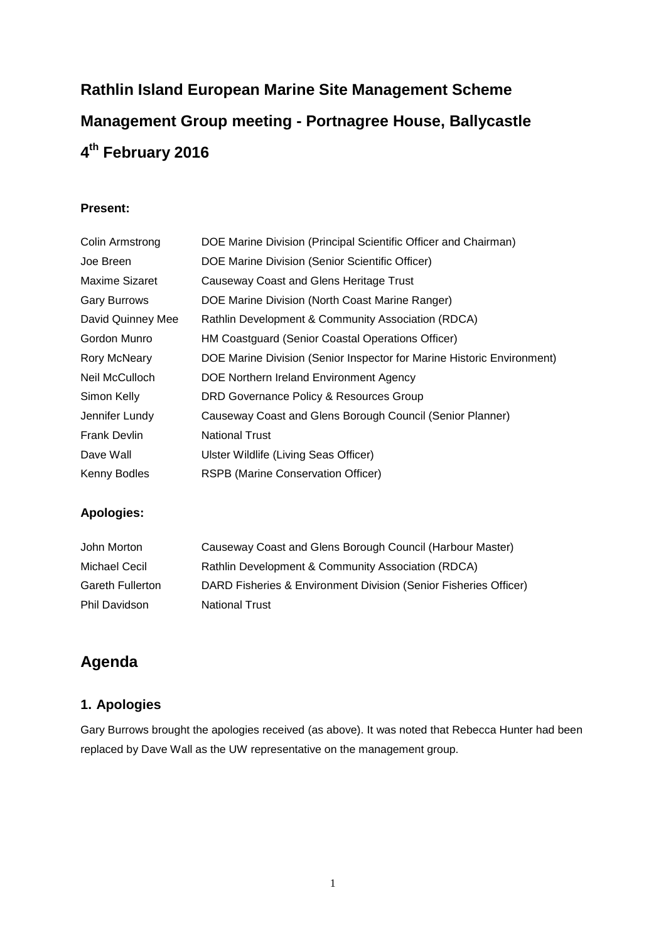# **Rathlin Island European Marine Site Management Scheme Management Group meeting - Portnagree House, Ballycastle 4 th February 2016**

## **Present:**

| Colin Armstrong     | DOE Marine Division (Principal Scientific Officer and Chairman)        |
|---------------------|------------------------------------------------------------------------|
| Joe Breen           | DOE Marine Division (Senior Scientific Officer)                        |
| Maxime Sizaret      | Causeway Coast and Glens Heritage Trust                                |
| <b>Gary Burrows</b> | DOE Marine Division (North Coast Marine Ranger)                        |
| David Quinney Mee   | Rathlin Development & Community Association (RDCA)                     |
| Gordon Munro        | HM Coastguard (Senior Coastal Operations Officer)                      |
| <b>Rory McNeary</b> | DOE Marine Division (Senior Inspector for Marine Historic Environment) |
| Neil McCulloch      | DOE Northern Ireland Environment Agency                                |
| Simon Kelly         | DRD Governance Policy & Resources Group                                |
| Jennifer Lundy      | Causeway Coast and Glens Borough Council (Senior Planner)              |
| <b>Frank Devlin</b> | <b>National Trust</b>                                                  |
| Dave Wall           | Ulster Wildlife (Living Seas Officer)                                  |
| Kenny Bodles        | RSPB (Marine Conservation Officer)                                     |

## **Apologies:**

| John Morton             | Causeway Coast and Glens Borough Council (Harbour Master)        |
|-------------------------|------------------------------------------------------------------|
| Michael Cecil           | Rathlin Development & Community Association (RDCA)               |
| <b>Gareth Fullerton</b> | DARD Fisheries & Environment Division (Senior Fisheries Officer) |
| <b>Phil Davidson</b>    | <b>National Trust</b>                                            |

## **Agenda**

## **1. Apologies**

Gary Burrows brought the apologies received (as above). It was noted that Rebecca Hunter had been replaced by Dave Wall as the UW representative on the management group.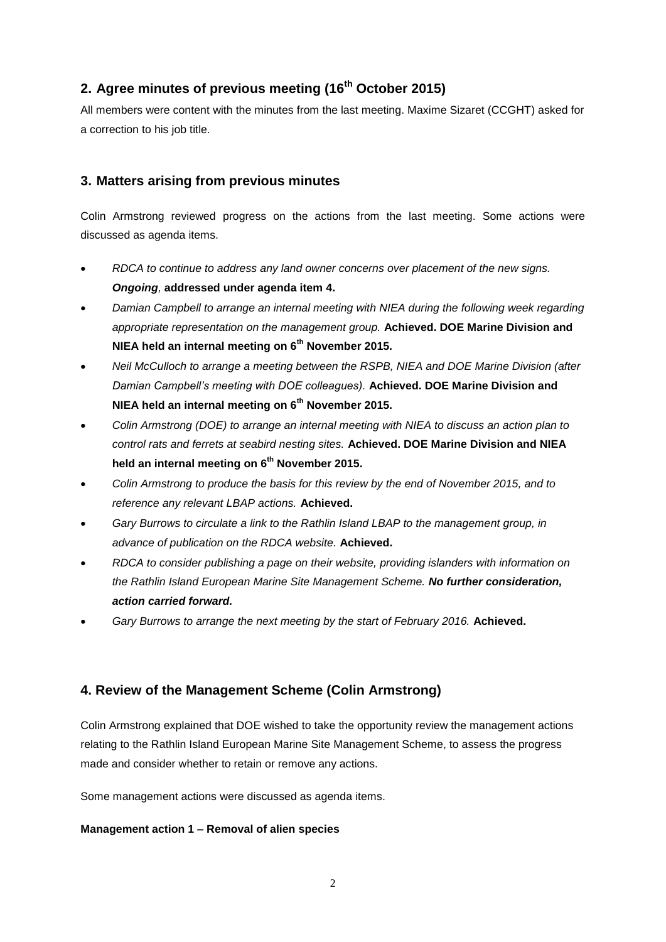## **2. Agree minutes of previous meeting (16th October 2015)**

All members were content with the minutes from the last meeting. Maxime Sizaret (CCGHT) asked for a correction to his job title.

## **3. Matters arising from previous minutes**

Colin Armstrong reviewed progress on the actions from the last meeting. Some actions were discussed as agenda items.

- *RDCA to continue to address any land owner concerns over placement of the new signs. Ongoing,* **addressed under agenda item 4.**
- *Damian Campbell to arrange an internal meeting with NIEA during the following week regarding appropriate representation on the management group.* **Achieved. DOE Marine Division and NIEA held an internal meeting on 6th November 2015.**
- *Neil McCulloch to arrange a meeting between the RSPB, NIEA and DOE Marine Division (after Damian Campbell's meeting with DOE colleagues).* **Achieved. DOE Marine Division and NIEA held an internal meeting on 6th November 2015.**
- *Colin Armstrong (DOE) to arrange an internal meeting with NIEA to discuss an action plan to control rats and ferrets at seabird nesting sites.* **Achieved. DOE Marine Division and NIEA held an internal meeting on 6th November 2015.**
- *Colin Armstrong to produce the basis for this review by the end of November 2015, and to reference any relevant LBAP actions.* **Achieved.**
- *Gary Burrows to circulate a link to the Rathlin Island LBAP to the management group, in advance of publication on the RDCA website.* **Achieved.**
- *RDCA to consider publishing a page on their website, providing islanders with information on the Rathlin Island European Marine Site Management Scheme. No further consideration, action carried forward.*
- *Gary Burrows to arrange the next meeting by the start of February 2016.* **Achieved.**

## **4. Review of the Management Scheme (Colin Armstrong)**

Colin Armstrong explained that DOE wished to take the opportunity review the management actions relating to the Rathlin Island European Marine Site Management Scheme, to assess the progress made and consider whether to retain or remove any actions.

Some management actions were discussed as agenda items.

#### **Management action 1 – Removal of alien species**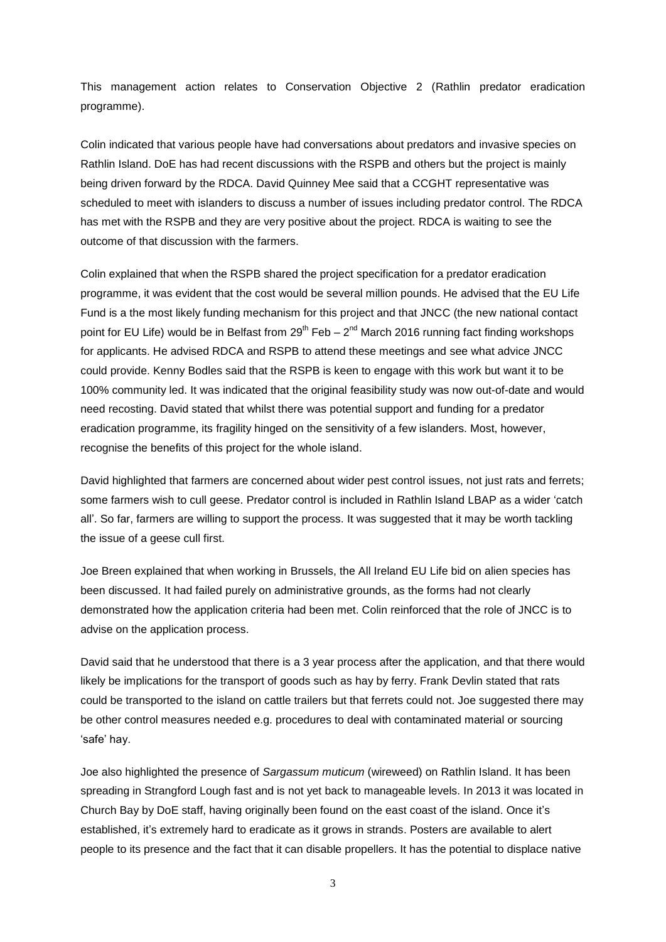This management action relates to Conservation Objective 2 (Rathlin predator eradication programme).

Colin indicated that various people have had conversations about predators and invasive species on Rathlin Island. DoE has had recent discussions with the RSPB and others but the project is mainly being driven forward by the RDCA. David Quinney Mee said that a CCGHT representative was scheduled to meet with islanders to discuss a number of issues including predator control. The RDCA has met with the RSPB and they are very positive about the project. RDCA is waiting to see the outcome of that discussion with the farmers.

Colin explained that when the RSPB shared the project specification for a predator eradication programme, it was evident that the cost would be several million pounds. He advised that the EU Life Fund is a the most likely funding mechanism for this project and that JNCC (the new national contact point for EU Life) would be in Belfast from 29<sup>th</sup> Feb – 2<sup>nd</sup> March 2016 running fact finding workshops for applicants. He advised RDCA and RSPB to attend these meetings and see what advice JNCC could provide. Kenny Bodles said that the RSPB is keen to engage with this work but want it to be 100% community led. It was indicated that the original feasibility study was now out-of-date and would need recosting. David stated that whilst there was potential support and funding for a predator eradication programme, its fragility hinged on the sensitivity of a few islanders. Most, however, recognise the benefits of this project for the whole island.

David highlighted that farmers are concerned about wider pest control issues, not just rats and ferrets; some farmers wish to cull geese. Predator control is included in Rathlin Island LBAP as a wider 'catch all'. So far, farmers are willing to support the process. It was suggested that it may be worth tackling the issue of a geese cull first.

Joe Breen explained that when working in Brussels, the All Ireland EU Life bid on alien species has been discussed. It had failed purely on administrative grounds, as the forms had not clearly demonstrated how the application criteria had been met. Colin reinforced that the role of JNCC is to advise on the application process.

David said that he understood that there is a 3 year process after the application, and that there would likely be implications for the transport of goods such as hay by ferry. Frank Devlin stated that rats could be transported to the island on cattle trailers but that ferrets could not. Joe suggested there may be other control measures needed e.g. procedures to deal with contaminated material or sourcing 'safe' hay.

Joe also highlighted the presence of *Sargassum muticum* (wireweed) on Rathlin Island. It has been spreading in Strangford Lough fast and is not yet back to manageable levels. In 2013 it was located in Church Bay by DoE staff, having originally been found on the east coast of the island. Once it's established, it's extremely hard to eradicate as it grows in strands. Posters are available to alert people to its presence and the fact that it can disable propellers. It has the potential to displace native

3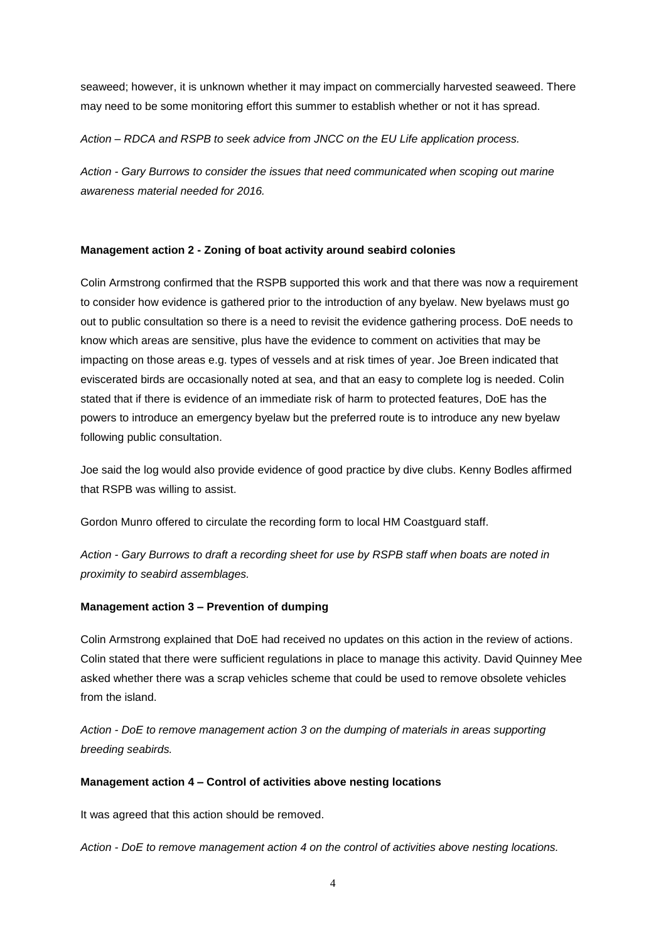seaweed; however, it is unknown whether it may impact on commercially harvested seaweed. There may need to be some monitoring effort this summer to establish whether or not it has spread.

*Action – RDCA and RSPB to seek advice from JNCC on the EU Life application process.*

*Action - Gary Burrows to consider the issues that need communicated when scoping out marine awareness material needed for 2016.*

#### **Management action 2 - Zoning of boat activity around seabird colonies**

Colin Armstrong confirmed that the RSPB supported this work and that there was now a requirement to consider how evidence is gathered prior to the introduction of any byelaw. New byelaws must go out to public consultation so there is a need to revisit the evidence gathering process. DoE needs to know which areas are sensitive, plus have the evidence to comment on activities that may be impacting on those areas e.g. types of vessels and at risk times of year. Joe Breen indicated that eviscerated birds are occasionally noted at sea, and that an easy to complete log is needed. Colin stated that if there is evidence of an immediate risk of harm to protected features, DoE has the powers to introduce an emergency byelaw but the preferred route is to introduce any new byelaw following public consultation.

Joe said the log would also provide evidence of good practice by dive clubs. Kenny Bodles affirmed that RSPB was willing to assist.

Gordon Munro offered to circulate the recording form to local HM Coastguard staff.

*Action - Gary Burrows to draft a recording sheet for use by RSPB staff when boats are noted in proximity to seabird assemblages.*

#### **Management action 3 – Prevention of dumping**

Colin Armstrong explained that DoE had received no updates on this action in the review of actions. Colin stated that there were sufficient regulations in place to manage this activity. David Quinney Mee asked whether there was a scrap vehicles scheme that could be used to remove obsolete vehicles from the island.

*Action - DoE to remove management action 3 on the dumping of materials in areas supporting breeding seabirds.*

#### **Management action 4 – Control of activities above nesting locations**

It was agreed that this action should be removed.

*Action - DoE to remove management action 4 on the control of activities above nesting locations.*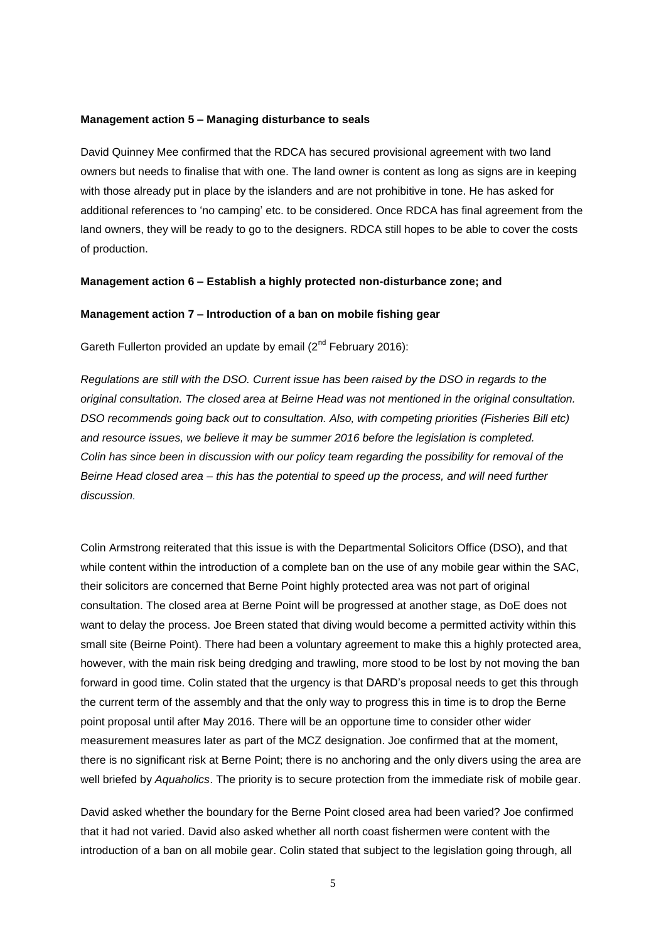#### **Management action 5 – Managing disturbance to seals**

David Quinney Mee confirmed that the RDCA has secured provisional agreement with two land owners but needs to finalise that with one. The land owner is content as long as signs are in keeping with those already put in place by the islanders and are not prohibitive in tone. He has asked for additional references to 'no camping' etc. to be considered. Once RDCA has final agreement from the land owners, they will be ready to go to the designers. RDCA still hopes to be able to cover the costs of production.

#### **Management action 6 – Establish a highly protected non-disturbance zone; and**

#### **Management action 7 – Introduction of a ban on mobile fishing gear**

Gareth Fullerton provided an update by email  $(2^{nd}$  February 2016):

*Regulations are still with the DSO. Current issue has been raised by the DSO in regards to the original consultation. The closed area at Beirne Head was not mentioned in the original consultation. DSO recommends going back out to consultation. Also, with competing priorities (Fisheries Bill etc) and resource issues, we believe it may be summer 2016 before the legislation is completed. Colin has since been in discussion with our policy team regarding the possibility for removal of the Beirne Head closed area – this has the potential to speed up the process, and will need further discussion.*

Colin Armstrong reiterated that this issue is with the Departmental Solicitors Office (DSO), and that while content within the introduction of a complete ban on the use of any mobile gear within the SAC, their solicitors are concerned that Berne Point highly protected area was not part of original consultation. The closed area at Berne Point will be progressed at another stage, as DoE does not want to delay the process. Joe Breen stated that diving would become a permitted activity within this small site (Beirne Point). There had been a voluntary agreement to make this a highly protected area, however, with the main risk being dredging and trawling, more stood to be lost by not moving the ban forward in good time. Colin stated that the urgency is that DARD's proposal needs to get this through the current term of the assembly and that the only way to progress this in time is to drop the Berne point proposal until after May 2016. There will be an opportune time to consider other wider measurement measures later as part of the MCZ designation. Joe confirmed that at the moment, there is no significant risk at Berne Point; there is no anchoring and the only divers using the area are well briefed by *Aquaholics*. The priority is to secure protection from the immediate risk of mobile gear.

David asked whether the boundary for the Berne Point closed area had been varied? Joe confirmed that it had not varied. David also asked whether all north coast fishermen were content with the introduction of a ban on all mobile gear. Colin stated that subject to the legislation going through, all

5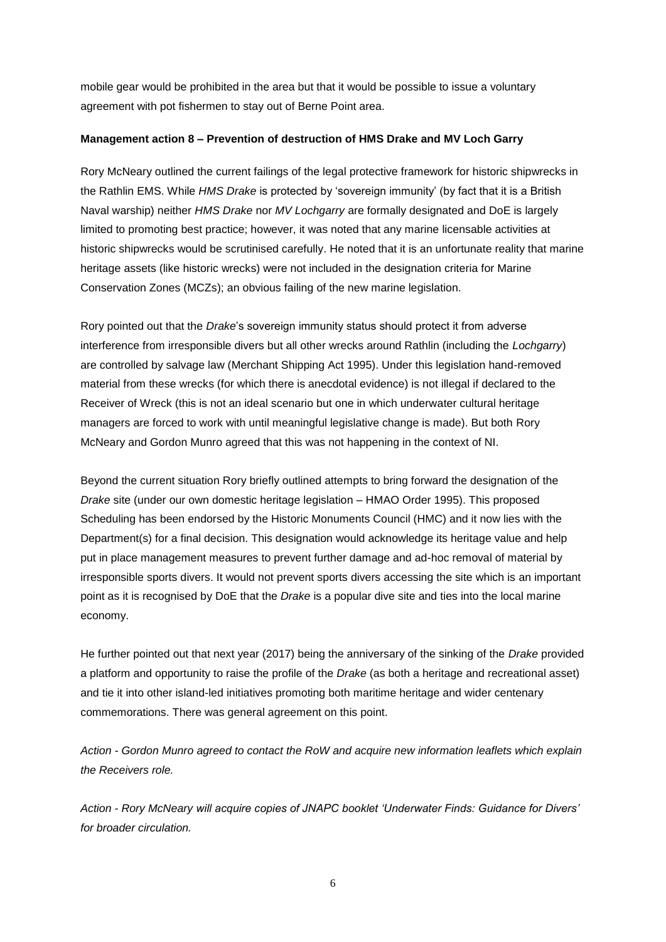mobile gear would be prohibited in the area but that it would be possible to issue a voluntary agreement with pot fishermen to stay out of Berne Point area.

#### **Management action 8 – Prevention of destruction of HMS Drake and MV Loch Garry**

Rory McNeary outlined the current failings of the legal protective framework for historic shipwrecks in the Rathlin EMS. While *HMS Drake* is protected by 'sovereign immunity' (by fact that it is a British Naval warship) neither *HMS Drake* nor *MV Lochgarry* are formally designated and DoE is largely limited to promoting best practice; however, it was noted that any marine licensable activities at historic shipwrecks would be scrutinised carefully. He noted that it is an unfortunate reality that marine heritage assets (like historic wrecks) were not included in the designation criteria for Marine Conservation Zones (MCZs); an obvious failing of the new marine legislation.

Rory pointed out that the *Drake*'s sovereign immunity status should protect it from adverse interference from irresponsible divers but all other wrecks around Rathlin (including the *Lochgarry*) are controlled by salvage law (Merchant Shipping Act 1995). Under this legislation hand-removed material from these wrecks (for which there is anecdotal evidence) is not illegal if declared to the Receiver of Wreck (this is not an ideal scenario but one in which underwater cultural heritage managers are forced to work with until meaningful legislative change is made). But both Rory McNeary and Gordon Munro agreed that this was not happening in the context of NI.

Beyond the current situation Rory briefly outlined attempts to bring forward the designation of the *Drake* site (under our own domestic heritage legislation – HMAO Order 1995). This proposed Scheduling has been endorsed by the Historic Monuments Council (HMC) and it now lies with the Department(s) for a final decision. This designation would acknowledge its heritage value and help put in place management measures to prevent further damage and ad-hoc removal of material by irresponsible sports divers. It would not prevent sports divers accessing the site which is an important point as it is recognised by DoE that the *Drake* is a popular dive site and ties into the local marine economy.

He further pointed out that next year (2017) being the anniversary of the sinking of the *Drake* provided a platform and opportunity to raise the profile of the *Drake* (as both a heritage and recreational asset) and tie it into other island-led initiatives promoting both maritime heritage and wider centenary commemorations. There was general agreement on this point.

*Action - Gordon Munro agreed to contact the RoW and acquire new information leaflets which explain the Receivers role.* 

*Action - Rory McNeary will acquire copies of JNAPC booklet 'Underwater Finds: Guidance for Divers' for broader circulation.*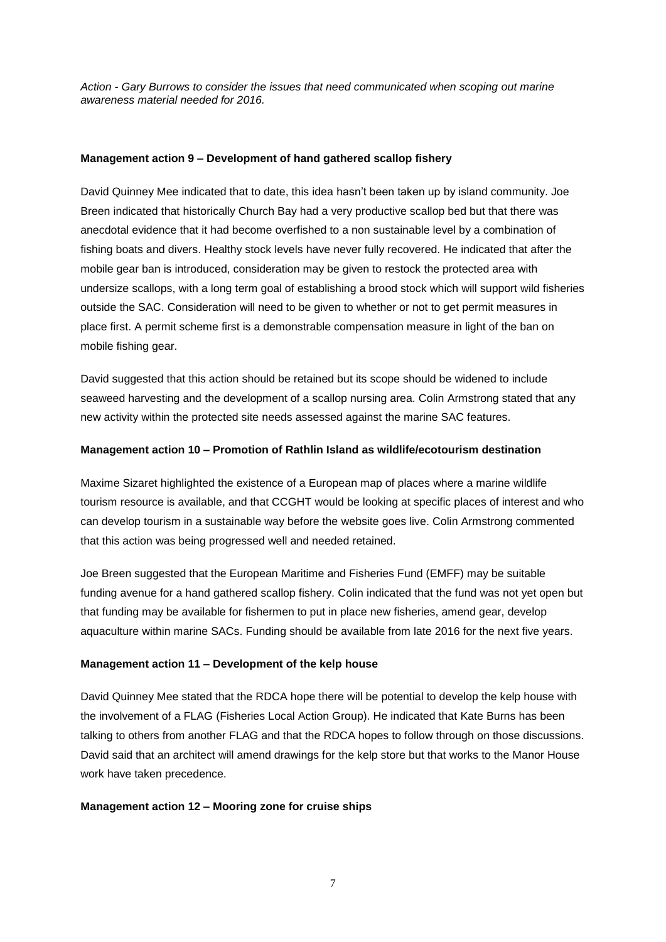*Action - Gary Burrows to consider the issues that need communicated when scoping out marine awareness material needed for 2016.*

#### **Management action 9 – Development of hand gathered scallop fishery**

David Quinney Mee indicated that to date, this idea hasn't been taken up by island community. Joe Breen indicated that historically Church Bay had a very productive scallop bed but that there was anecdotal evidence that it had become overfished to a non sustainable level by a combination of fishing boats and divers. Healthy stock levels have never fully recovered. He indicated that after the mobile gear ban is introduced, consideration may be given to restock the protected area with undersize scallops, with a long term goal of establishing a brood stock which will support wild fisheries outside the SAC. Consideration will need to be given to whether or not to get permit measures in place first. A permit scheme first is a demonstrable compensation measure in light of the ban on mobile fishing gear.

David suggested that this action should be retained but its scope should be widened to include seaweed harvesting and the development of a scallop nursing area. Colin Armstrong stated that any new activity within the protected site needs assessed against the marine SAC features.

#### **Management action 10 – Promotion of Rathlin Island as wildlife/ecotourism destination**

Maxime Sizaret highlighted the existence of a European map of places where a marine wildlife tourism resource is available, and that CCGHT would be looking at specific places of interest and who can develop tourism in a sustainable way before the website goes live. Colin Armstrong commented that this action was being progressed well and needed retained.

Joe Breen suggested that the European Maritime and Fisheries Fund (EMFF) may be suitable funding avenue for a hand gathered scallop fishery. Colin indicated that the fund was not yet open but that funding may be available for fishermen to put in place new fisheries, amend gear, develop aquaculture within marine SACs. Funding should be available from late 2016 for the next five years.

#### **Management action 11 – Development of the kelp house**

David Quinney Mee stated that the RDCA hope there will be potential to develop the kelp house with the involvement of a FLAG (Fisheries Local Action Group). He indicated that Kate Burns has been talking to others from another FLAG and that the RDCA hopes to follow through on those discussions. David said that an architect will amend drawings for the kelp store but that works to the Manor House work have taken precedence.

#### **Management action 12 – Mooring zone for cruise ships**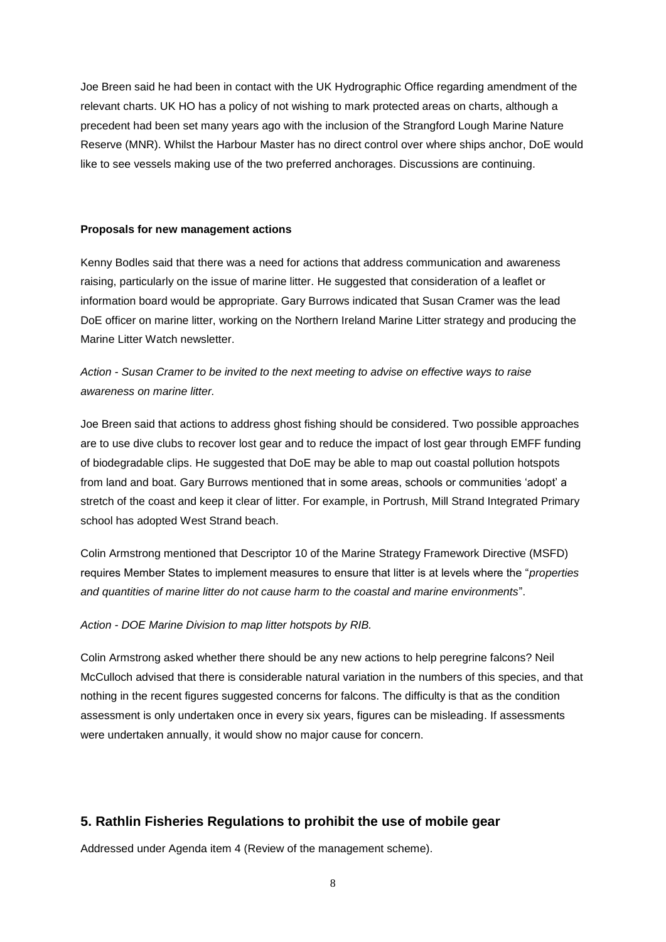Joe Breen said he had been in contact with the UK Hydrographic Office regarding amendment of the relevant charts. UK HO has a policy of not wishing to mark protected areas on charts, although a precedent had been set many years ago with the inclusion of the Strangford Lough Marine Nature Reserve (MNR). Whilst the Harbour Master has no direct control over where ships anchor, DoE would like to see vessels making use of the two preferred anchorages. Discussions are continuing.

#### **Proposals for new management actions**

Kenny Bodles said that there was a need for actions that address communication and awareness raising, particularly on the issue of marine litter. He suggested that consideration of a leaflet or information board would be appropriate. Gary Burrows indicated that Susan Cramer was the lead DoE officer on marine litter, working on the Northern Ireland Marine Litter strategy and producing the Marine Litter Watch newsletter.

## *Action - Susan Cramer to be invited to the next meeting to advise on effective ways to raise awareness on marine litter.*

Joe Breen said that actions to address ghost fishing should be considered. Two possible approaches are to use dive clubs to recover lost gear and to reduce the impact of lost gear through EMFF funding of biodegradable clips. He suggested that DoE may be able to map out coastal pollution hotspots from land and boat. Gary Burrows mentioned that in some areas, schools or communities 'adopt' a stretch of the coast and keep it clear of litter. For example, in Portrush, Mill Strand Integrated Primary school has adopted West Strand beach.

Colin Armstrong mentioned that Descriptor 10 of the Marine Strategy Framework Directive (MSFD) requires Member States to implement measures to ensure that litter is at levels where the "*properties and quantities of marine litter do not cause harm to the coastal and marine environments*".

#### *Action - DOE Marine Division to map litter hotspots by RIB.*

Colin Armstrong asked whether there should be any new actions to help peregrine falcons? Neil McCulloch advised that there is considerable natural variation in the numbers of this species, and that nothing in the recent figures suggested concerns for falcons. The difficulty is that as the condition assessment is only undertaken once in every six years, figures can be misleading. If assessments were undertaken annually, it would show no major cause for concern.

#### **5. Rathlin Fisheries Regulations to prohibit the use of mobile gear**

Addressed under Agenda item 4 (Review of the management scheme).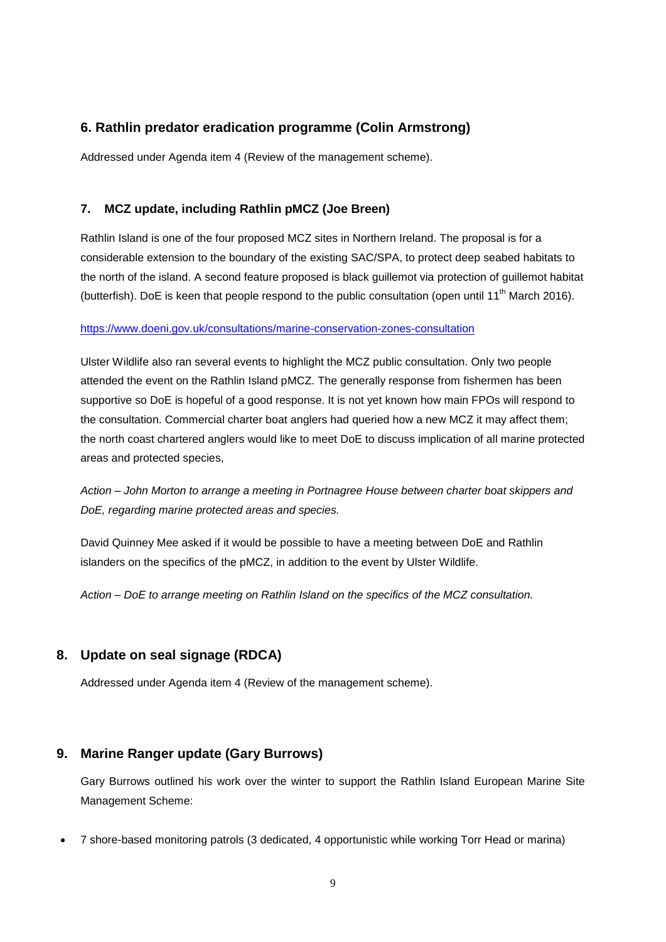## **6. Rathlin predator eradication programme (Colin Armstrong)**

Addressed under Agenda item 4 (Review of the management scheme).

#### **7. MCZ update, including Rathlin pMCZ (Joe Breen)**

Rathlin Island is one of the four proposed MCZ sites in Northern Ireland. The proposal is for a considerable extension to the boundary of the existing SAC/SPA, to protect deep seabed habitats to the north of the island. A second feature proposed is black guillemot via protection of guillemot habitat (butterfish). DoE is keen that people respond to the public consultation (open until 11<sup>th</sup> March 2016).

#### <https://www.doeni.gov.uk/consultations/marine-conservation-zones-consultation>

Ulster Wildlife also ran several events to highlight the MCZ public consultation. Only two people attended the event on the Rathlin Island pMCZ. The generally response from fishermen has been supportive so DoE is hopeful of a good response. It is not yet known how main FPOs will respond to the consultation. Commercial charter boat anglers had queried how a new MCZ it may affect them; the north coast chartered anglers would like to meet DoE to discuss implication of all marine protected areas and protected species,

*Action – John Morton to arrange a meeting in Portnagree House between charter boat skippers and DoE, regarding marine protected areas and species.*

David Quinney Mee asked if it would be possible to have a meeting between DoE and Rathlin islanders on the specifics of the pMCZ, in addition to the event by Ulster Wildlife.

*Action – DoE to arrange meeting on Rathlin Island on the specifics of the MCZ consultation.*

#### **8. Update on seal signage (RDCA)**

Addressed under Agenda item 4 (Review of the management scheme).

## **9. Marine Ranger update (Gary Burrows)**

Gary Burrows outlined his work over the winter to support the Rathlin Island European Marine Site Management Scheme:

7 shore-based monitoring patrols (3 dedicated, 4 opportunistic while working Torr Head or marina)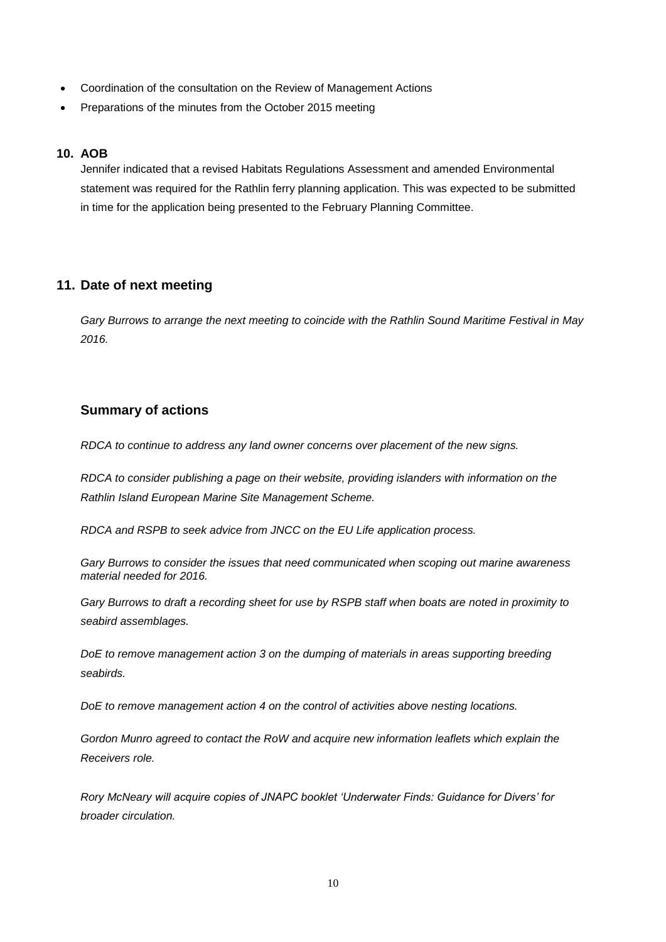- Coordination of the consultation on the Review of Management Actions
- Preparations of the minutes from the October 2015 meeting

#### **10. AOB**

Jennifer indicated that a revised Habitats Regulations Assessment and amended Environmental statement was required for the Rathlin ferry planning application. This was expected to be submitted in time for the application being presented to the February Planning Committee.

## **11. Date of next meeting**

*Gary Burrows to arrange the next meeting to coincide with the Rathlin Sound Maritime Festival in May 2016.*

## **Summary of actions**

*RDCA to continue to address any land owner concerns over placement of the new signs.* 

*RDCA to consider publishing a page on their website, providing islanders with information on the Rathlin Island European Marine Site Management Scheme.*

*RDCA and RSPB to seek advice from JNCC on the EU Life application process.*

*Gary Burrows to consider the issues that need communicated when scoping out marine awareness material needed for 2016.*

*Gary Burrows to draft a recording sheet for use by RSPB staff when boats are noted in proximity to seabird assemblages.*

*DoE to remove management action 3 on the dumping of materials in areas supporting breeding seabirds.*

*DoE to remove management action 4 on the control of activities above nesting locations.*

*Gordon Munro agreed to contact the RoW and acquire new information leaflets which explain the Receivers role.* 

*Rory McNeary will acquire copies of JNAPC booklet 'Underwater Finds: Guidance for Divers' for broader circulation.*